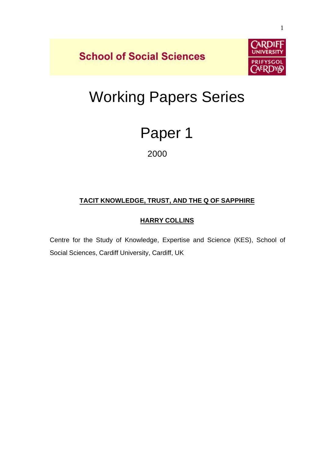**School of Social Sciences** 



# Working Papers Series

## Paper 1

2000

## **TACIT KNOWLEDGE, TRUST, AND THE Q OF SAPPHIRE**

### **HARRY COLLINS**

Centre for the Study of Knowledge, Expertise and Science (KES), School of Social Sciences, Cardiff University, Cardiff, UK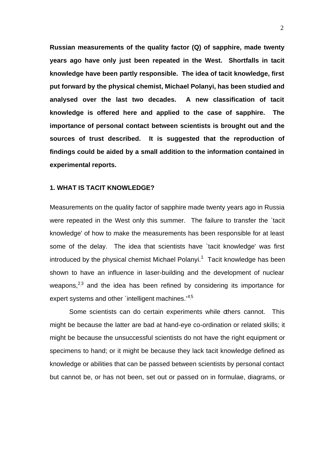**Russian measurements of the quality factor (Q) of sapphire, made twenty years ago have only just been repeated in the West. Shortfalls in tacit knowledge have been partly responsible. The idea of tacit knowledge, first put forward by the physical chemist, Michael Polanyi, has been studied and analysed over the last two decades. A new classification of tacit knowledge is offered here and applied to the case of sapphire. The importance of personal contact between scientists is brought out and the sources of trust described. It is suggested that the reproduction of findings could be aided by a small addition to the information contained in experimental reports.**

#### **1. WHAT IS TACIT KNOWLEDGE?**

Measurements on the quality factor of sapphire made twenty years ago in Russia were repeated in the West only this summer. The failure to transfer the `tacit knowledge' of how to make the measurements has been responsible for at least some of the delay. The idea that scientists have 'tacit knowledge' was first introduced by the physical chemist Michael Polanyi.<sup>1</sup> Tacit knowledge has been shown to have an influence in laser-building and the development of nuclear weapons,<sup>2,3</sup> and the idea has been refined by considering its importance for expert systems and other `intelligent machines.<sup>14,5</sup>

Some scientists can do certain experiments while others cannot. This might be because the latter are bad at hand-eye co-ordination or related skills; it might be because the unsuccessful scientists do not have the right equipment or specimens to hand; or it might be because they lack tacit knowledge defined as knowledge or abilities that can be passed between scientists by personal contact but cannot be, or has not been, set out or passed on in formulae, diagrams, or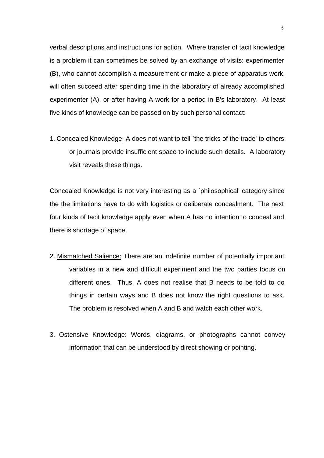verbal descriptions and instructions for action. Where transfer of tacit knowledge is a problem it can sometimes be solved by an exchange of visits: experimenter (B), who cannot accomplish a measurement or make a piece of apparatus work, will often succeed after spending time in the laboratory of already accomplished experimenter (A), or after having A work for a period in B's laboratory. At least five kinds of knowledge can be passed on by such personal contact:

1. Concealed Knowledge: A does not want to tell `the tricks of the trade' to others or journals provide insufficient space to include such details. A laboratory visit reveals these things.

Concealed Knowledge is not very interesting as a `philosophical' category since the the limitations have to do with logistics or deliberate concealment. The next four kinds of tacit knowledge apply even when A has no intention to conceal and there is shortage of space.

- 2. Mismatched Salience: There are an indefinite number of potentially important variables in a new and difficult experiment and the two parties focus on different ones. Thus, A does not realise that B needs to be told to do things in certain ways and B does not know the right questions to ask. The problem is resolved when A and B and watch each other work.
- 3. Ostensive Knowledge: Words, diagrams, or photographs cannot convey information that can be understood by direct showing or pointing.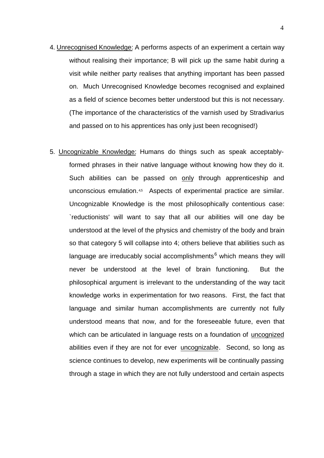- 4. Unrecognised Knowledge: A performs aspects of an experiment a certain way without realising their importance; B will pick up the same habit during a visit while neither party realises that anything important has been passed on. Much Unrecognised Knowledge becomes recognised and explained as a field of science becomes better understood but this is not necessary. (The importance of the characteristics of the varnish used by Stradivarius and passed on to his apprentices has only just been recognised!)
- 5. Uncognizable Knowledge: Humans do things such as speak acceptablyformed phrases in their native language without knowing how they do it. Such abilities can be passed on only through apprenticeship and unconscious emulation.<sup>4,5</sup> Aspects of experimental practice are similar. Uncognizable Knowledge is the most philosophically contentious case: `reductionists' will want to say that all our abilities will one day be understood at the level of the physics and chemistry of the body and brain so that category 5 will collapse into 4; others believe that abilities such as language are irreducably social accomplishments $^6$  which means they will never be understood at the level of brain functioning. But the philosophical argument is irrelevant to the understanding of the way tacit knowledge works in experimentation for two reasons. First, the fact that language and similar human accomplishments are currently not fully understood means that now, and for the foreseeable future, even that which can be articulated in language rests on a foundation of uncognized abilities even if they are not for ever uncognizable. Second, so long as science continues to develop, new experiments will be continually passing through a stage in which they are not fully understood and certain aspects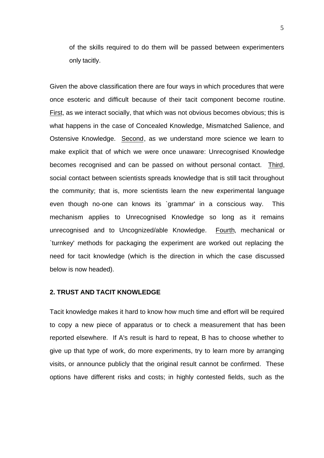of the skills required to do them will be passed between experimenters only tacitly.

Given the above classification there are four ways in which procedures that were once esoteric and difficult because of their tacit component become routine. First, as we interact socially, that which was not obvious becomes obvious; this is what happens in the case of Concealed Knowledge, Mismatched Salience, and Ostensive Knowledge. Second, as we understand more science we learn to make explicit that of which we were once unaware: Unrecognised Knowledge becomes recognised and can be passed on without personal contact. Third, social contact between scientists spreads knowledge that is still tacit throughout the community; that is, more scientists learn the new experimental language even though no-one can knows its `grammar' in a conscious way. This mechanism applies to Unrecognised Knowledge so long as it remains unrecognised and to Uncognized/able Knowledge. Fourth, mechanical or `turnkey' methods for packaging the experiment are worked out replacing the need for tacit knowledge (which is the direction in which the case discussed below is now headed).

#### **2. TRUST AND TACIT KNOWLEDGE**

Tacit knowledge makes it hard to know how much time and effort will be required to copy a new piece of apparatus or to check a measurement that has been reported elsewhere. If A's result is hard to repeat, B has to choose whether to give up that type of work, do more experiments, try to learn more by arranging visits, or announce publicly that the original result cannot be confirmed. These options have different risks and costs; in highly contested fields, such as the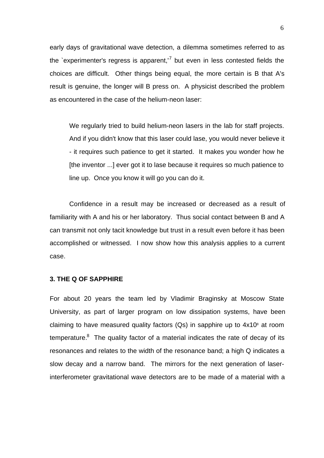early days of gravitational wave detection, a dilemma sometimes referred to as the `experimenter's regress is apparent,'<sup>7</sup> but even in less contested fields the choices are difficult. Other things being equal, the more certain is B that A's result is genuine, the longer will B press on. A physicist described the problem as encountered in the case of the helium-neon laser:

We regularly tried to build helium-neon lasers in the lab for staff projects. And if you didn't know that this laser could lase, you would never believe it - it requires such patience to get it started. It makes you wonder how he [the inventor ...] ever got it to lase because it requires so much patience to line up. Once you know it will go you can do it.

Confidence in a result may be increased or decreased as a result of familiarity with A and his or her laboratory. Thus social contact between B and A can transmit not only tacit knowledge but trust in a result even before it has been accomplished or witnessed. I now show how this analysis applies to a current case.

#### **3. THE Q OF SAPPHIRE**

For about 20 years the team led by Vladimir Braginsky at Moscow State University, as part of larger program on low dissipation systems, have been claiming to have measured quality factors (Qs) in sapphire up to  $4x10<sup>s</sup>$  at room temperature. $8$  The quality factor of a material indicates the rate of decay of its resonances and relates to the width of the resonance band; a high Q indicates a slow decay and a narrow band. The mirrors for the next generation of laserinterferometer gravitational wave detectors are to be made of a material with a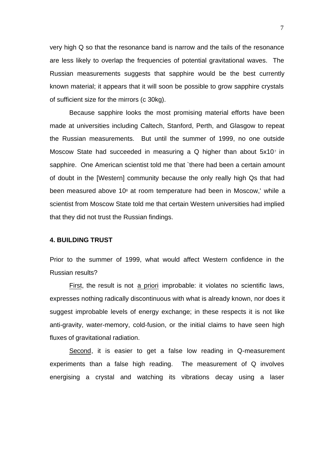very high Q so that the resonance band is narrow and the tails of the resonance are less likely to overlap the frequencies of potential gravitational waves. The Russian measurements suggests that sapphire would be the best currently known material; it appears that it will soon be possible to grow sapphire crystals of sufficient size for the mirrors (c 30kg).

Because sapphire looks the most promising material efforts have been made at universities including Caltech, Stanford, Perth, and Glasgow to repeat the Russian measurements. But until the summer of 1999, no one outside Moscow State had succeeded in measuring a Q higher than about  $5x10<sup>7</sup>$  in sapphire. One American scientist told me that `there had been a certain amount of doubt in the [Western] community because the only really high Qs that had been measured above 10<sup>8</sup> at room temperature had been in Moscow,' while a scientist from Moscow State told me that certain Western universities had implied that they did not trust the Russian findings.

#### **4. BUILDING TRUST**

Prior to the summer of 1999, what would affect Western confidence in the Russian results?

First, the result is not a priori improbable: it violates no scientific laws, expresses nothing radically discontinuous with what is already known, nor does it suggest improbable levels of energy exchange; in these respects it is not like anti-gravity, water-memory, cold-fusion, or the initial claims to have seen high fluxes of gravitational radiation.

Second, it is easier to get a false low reading in Q-measurement experiments than a false high reading. The measurement of Q involves energising a crystal and watching its vibrations decay using a laser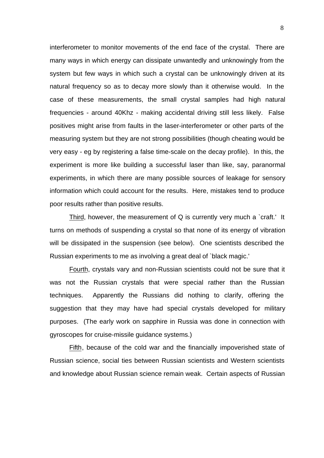interferometer to monitor movements of the end face of the crystal. There are many ways in which energy can dissipate unwantedly and unknowingly from the system but few ways in which such a crystal can be unknowingly driven at its natural frequency so as to decay more slowly than it otherwise would. In the case of these measurements, the small crystal samples had high natural frequencies - around 40Khz - making accidental driving still less likely. False positives might arise from faults in the laser-interferometer or other parts of the measuring system but they are not strong possibilities (though cheating would be very easy - eg by registering a false time-scale on the decay profile). In this, the experiment is more like building a successful laser than like, say, paranormal experiments, in which there are many possible sources of leakage for sensory information which could account for the results. Here, mistakes tend to produce poor results rather than positive results.

Third, however, the measurement of Q is currently very much a `craft.' It turns on methods of suspending a crystal so that none of its energy of vibration will be dissipated in the suspension (see below). One scientists described the Russian experiments to me as involving a great deal of `black magic.'

Fourth, crystals vary and non-Russian scientists could not be sure that it was not the Russian crystals that were special rather than the Russian techniques. Apparently the Russians did nothing to clarify, offering the suggestion that they may have had special crystals developed for military purposes. (The early work on sapphire in Russia was done in connection with gyroscopes for cruise-missile guidance systems.)

Fifth, because of the cold war and the financially impoverished state of Russian science, social ties between Russian scientists and Western scientists and knowledge about Russian science remain weak. Certain aspects of Russian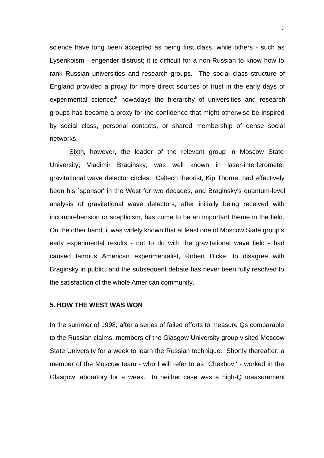science have long been accepted as being first class, while others - such as Lysenkoism - engender distrust; it is difficult for a non-Russian to know how to rank Russian universities and research groups. The social class structure of England provided a proxy for more direct sources of trust in the early days of experimental science; <sup>9</sup> nowadays the hierarchy of universities and research groups has become a proxy for the confidence that might otherwise be inspired by social class, personal contacts, or shared membership of dense social networks.

Sixth, however, the leader of the relevant group in Moscow State University, Vladimir Braginsky, was well known in laser-interferometer gravitational wave detector circles. Caltech theorist, Kip Thorne, had effectively been his `sponsor' in the West for two decades, and Braginsky's quantum-level analysis of gravitational wave detectors, after initially being received with incomprehension or scepticism, has come to be an important theme in the field. On the other hand, it was widely known that at least one of Moscow State group's early experimental results - not to do with the gravitational wave field - had caused famous American experimentalist, Robert Dicke, to disagree with Braginsky in public, and the subsequent debate has never been fully resolved to the satisfaction of the whole American community.

#### **5. HOW THE WEST WAS WON**

In the summer of 1998, after a series of failed efforts to measure Qs comparable to the Russian claims, members of the Glasgow University group visited Moscow State University for a week to learn the Russian technique. Shortly thereafter, a member of the Moscow team - who I will refer to as `Chekhov,' - worked in the Glasgow laboratory for a week. In neither case was a high-Q measurement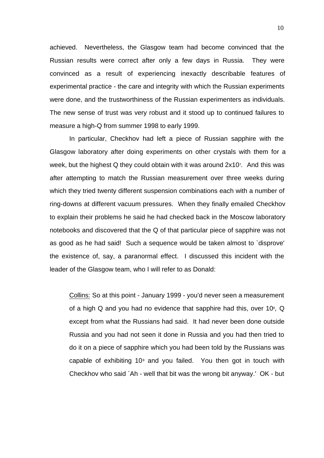achieved. Nevertheless, the Glasgow team had become convinced that the Russian results were correct after only a few days in Russia. They were convinced as a result of experiencing inexactly describable features of experimental practice - the care and integrity with which the Russian experiments were done, and the trustworthiness of the Russian experimenters as individuals. The new sense of trust was very robust and it stood up to continued failures to measure a high-Q from summer 1998 to early 1999.

In particular, Checkhov had left a piece of Russian sapphire with the Glasgow laboratory after doing experiments on other crystals with them for a week, but the highest Q they could obtain with it was around 2x10<sup>7</sup> . And this was after attempting to match the Russian measurement over three weeks during which they tried twenty different suspension combinations each with a number of ring-downs at different vacuum pressures. When they finally emailed Checkhov to explain their problems he said he had checked back in the Moscow laboratory notebooks and discovered that the Q of that particular piece of sapphire was not as good as he had said! Such a sequence would be taken almost to `disprove' the existence of, say, a paranormal effect. I discussed this incident with the leader of the Glasgow team, who I will refer to as Donald:

Collins: So at this point - January 1999 - you'd never seen a measurement of a high Q and you had no evidence that sapphire had this, over 10 $^{8}$ , Q except from what the Russians had said. It had never been done outside Russia and you had not seen it done in Russia and you had then tried to do it on a piece of sapphire which you had been told by the Russians was capable of exhibiting  $10<sup>s</sup>$  and you failed. You then got in touch with Checkhov who said `Ah - well that bit was the wrong bit anyway.' OK - but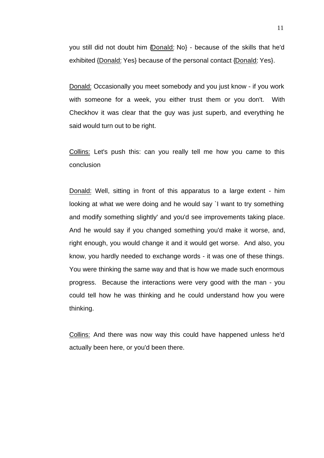you still did not doubt him {Donald: No} - because of the skills that he'd exhibited {Donald: Yes} because of the personal contact {Donald: Yes}.

Donald: Occasionally you meet somebody and you just know - if you work with someone for a week, you either trust them or you don't. With Checkhov it was clear that the guy was just superb, and everything he said would turn out to be right.

Collins: Let's push this: can you really tell me how you came to this conclusion

Donald: Well, sitting in front of this apparatus to a large extent - him looking at what we were doing and he would say `I want to try something and modify something slightly' and you'd see improvements taking place. And he would say if you changed something you'd make it worse, and, right enough, you would change it and it would get worse. And also, you know, you hardly needed to exchange words - it was one of these things. You were thinking the same way and that is how we made such enormous progress. Because the interactions were very good with the man - you could tell how he was thinking and he could understand how you were thinking.

Collins: And there was now way this could have happened unless he'd actually been here, or you'd been there.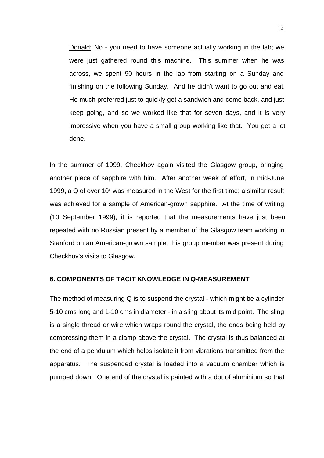Donald: No - you need to have someone actually working in the lab; we were just gathered round this machine. This summer when he was across, we spent 90 hours in the lab from starting on a Sunday and finishing on the following Sunday. And he didn't want to go out and eat. He much preferred just to quickly get a sandwich and come back, and just keep going, and so we worked like that for seven days, and it is very impressive when you have a small group working like that. You get a lot done.

In the summer of 1999, Checkhov again visited the Glasgow group, bringing another piece of sapphire with him. After another week of effort, in mid-June 1999, a  $Q$  of over 10<sup>8</sup> was measured in the West for the first time; a similar result was achieved for a sample of American-grown sapphire. At the time of writing (10 September 1999), it is reported that the measurements have just been repeated with no Russian present by a member of the Glasgow team working in Stanford on an American-grown sample; this group member was present during Checkhov's visits to Glasgow.

#### **6. COMPONENTS OF TACIT KNOWLEDGE IN Q-MEASUREMENT**

The method of measuring Q is to suspend the crystal - which might be a cylinder 5-10 cms long and 1-10 cms in diameter - in a sling about its mid point. The sling is a single thread or wire which wraps round the crystal, the ends being held by compressing them in a clamp above the crystal. The crystal is thus balanced at the end of a pendulum which helps isolate it from vibrations transmitted from the apparatus. The suspended crystal is loaded into a vacuum chamber which is pumped down. One end of the crystal is painted with a dot of aluminium so that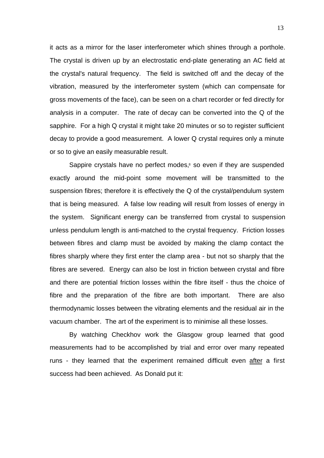it acts as a mirror for the laser interferometer which shines through a porthole. The crystal is driven up by an electrostatic end-plate generating an AC field at the crystal's natural frequency. The field is switched off and the decay of the vibration, measured by the interferometer system (which can compensate for gross movements of the face), can be seen on a chart recorder or fed directly for analysis in a computer. The rate of decay can be converted into the Q of the sapphire. For a high Q crystal it might take 20 minutes or so to register sufficient decay to provide a good measurement. A lower Q crystal requires only a minute or so to give an easily measurable result.

Sappire crystals have no perfect modes,<sup>8</sup> so even if they are suspended exactly around the mid-point some movement will be transmitted to the suspension fibres; therefore it is effectively the Q of the crystal/pendulum system that is being measured. A false low reading will result from losses of energy in the system. Significant energy can be transferred from crystal to suspension unless pendulum length is anti-matched to the crystal frequency. Friction losses between fibres and clamp must be avoided by making the clamp contact the fibres sharply where they first enter the clamp area - but not so sharply that the fibres are severed. Energy can also be lost in friction between crystal and fibre and there are potential friction losses within the fibre itself - thus the choice of fibre and the preparation of the fibre are both important. There are also thermodynamic losses between the vibrating elements and the residual air in the vacuum chamber. The art of the experiment is to minimise all these losses.

By watching Checkhov work the Glasgow group learned that good measurements had to be accomplished by trial and error over many repeated runs - they learned that the experiment remained difficult even after a first success had been achieved. As Donald put it: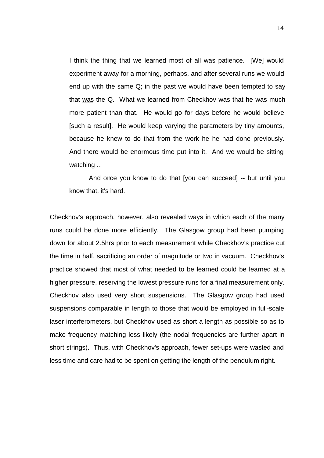I think the thing that we learned most of all was patience. [We] would experiment away for a morning, perhaps, and after several runs we would end up with the same Q; in the past we would have been tempted to say that was the Q. What we learned from Checkhov was that he was much more patient than that. He would go for days before he would believe [such a result]. He would keep varying the parameters by tiny amounts, because he knew to do that from the work he he had done previously. And there would be enormous time put into it. And we would be sitting watching ...

And once you know to do that [you can succeed] -- but until you know that, it's hard.

Checkhov's approach, however, also revealed ways in which each of the many runs could be done more efficiently. The Glasgow group had been pumping down for about 2.5hrs prior to each measurement while Checkhov's practice cut the time in half, sacrificing an order of magnitude or two in vacuum. Checkhov's practice showed that most of what needed to be learned could be learned at a higher pressure, reserving the lowest pressure runs for a final measurement only. Checkhov also used very short suspensions. The Glasgow group had used suspensions comparable in length to those that would be employed in full-scale laser interferometers, but Checkhov used as short a length as possible so as to make frequency matching less likely (the nodal frequencies are further apart in short strings). Thus, with Checkhov's approach, fewer set-ups were wasted and less time and care had to be spent on getting the length of the pendulum right.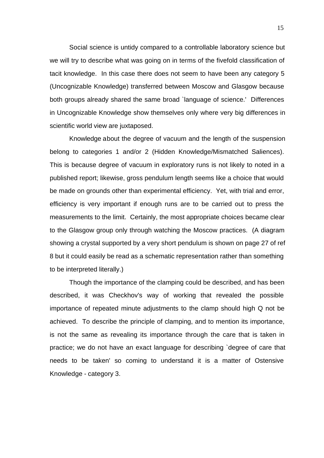Social science is untidy compared to a controllable laboratory science but we will try to describe what was going on in terms of the fivefold classification of tacit knowledge. In this case there does not seem to have been any category 5 (Uncognizable Knowledge) transferred between Moscow and Glasgow because both groups already shared the same broad `language of science.' Differences in Uncognizable Knowledge show themselves only where very big differences in scientific world view are juxtaposed.

Knowledge about the degree of vacuum and the length of the suspension belong to categories 1 and/or 2 (Hidden Knowledge/Mismatched Saliences). This is because degree of vacuum in exploratory runs is not likely to noted in a published report; likewise, gross pendulum length seems like a choice that would be made on grounds other than experimental efficiency. Yet, with trial and error, efficiency is very important if enough runs are to be carried out to press the measurements to the limit. Certainly, the most appropriate choices became clear to the Glasgow group only through watching the Moscow practices. (A diagram showing a crystal supported by a very short pendulum is shown on page 27 of ref 8 but it could easily be read as a schematic representation rather than something to be interpreted literally.)

Though the importance of the clamping could be described, and has been described, it was Checkhov's way of working that revealed the possible importance of repeated minute adjustments to the clamp should high Q not be achieved. To describe the principle of clamping, and to mention its importance, is not the same as revealing its importance through the care that is taken in practice; we do not have an exact language for describing `degree of care that needs to be taken' so coming to understand it is a matter of Ostensive Knowledge - category 3.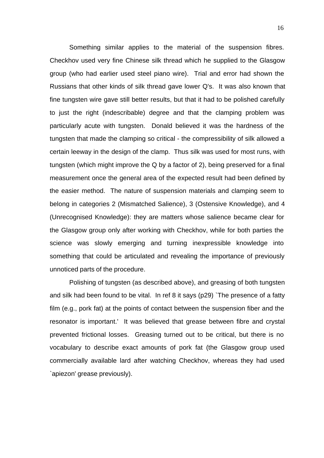Something similar applies to the material of the suspension fibres. Checkhov used very fine Chinese silk thread which he supplied to the Glasgow group (who had earlier used steel piano wire). Trial and error had shown the Russians that other kinds of silk thread gave lower Q's. It was also known that fine tungsten wire gave still better results, but that it had to be polished carefully to just the right (indescribable) degree and that the clamping problem was particularly acute with tungsten. Donald believed it was the hardness of the tungsten that made the clamping so critical - the compressibility of silk allowed a certain leeway in the design of the clamp. Thus silk was used for most runs, with tungsten (which might improve the Q by a factor of 2), being preserved for a final measurement once the general area of the expected result had been defined by the easier method. The nature of suspension materials and clamping seem to belong in categories 2 (Mismatched Salience), 3 (Ostensive Knowledge), and 4 (Unrecognised Knowledge): they are matters whose salience became clear for the Glasgow group only after working with Checkhov, while for both parties the science was slowly emerging and turning inexpressible knowledge into something that could be articulated and revealing the importance of previously unnoticed parts of the procedure.

Polishing of tungsten (as described above), and greasing of both tungsten and silk had been found to be vital. In ref 8 it says (p29) `The presence of a fatty film (e.g., pork fat) at the points of contact between the suspension fiber and the resonator is important.' It was believed that grease between fibre and crystal prevented frictional losses. Greasing turned out to be critical, but there is no vocabulary to describe exact amounts of pork fat (the Glasgow group used commercially available lard after watching Checkhov, whereas they had used `apiezon' grease previously).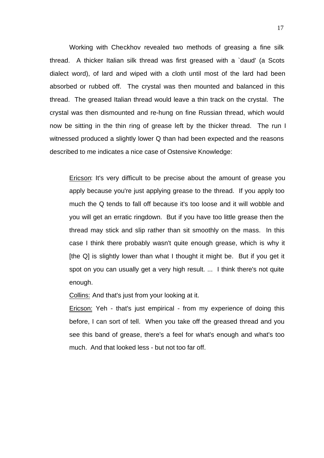Working with Checkhov revealed two methods of greasing a fine silk thread. A thicker Italian silk thread was first greased with a `daud' (a Scots dialect word), of lard and wiped with a cloth until most of the lard had been absorbed or rubbed off. The crystal was then mounted and balanced in this thread. The greased Italian thread would leave a thin track on the crystal. The crystal was then dismounted and re-hung on fine Russian thread, which would now be sitting in the thin ring of grease left by the thicker thread. The run I witnessed produced a slightly lower Q than had been expected and the reasons described to me indicates a nice case of Ostensive Knowledge:

Ericson: It's very difficult to be precise about the amount of grease you apply because you're just applying grease to the thread. If you apply too much the Q tends to fall off because it's too loose and it will wobble and you will get an erratic ringdown. But if you have too little grease then the thread may stick and slip rather than sit smoothly on the mass. In this case I think there probably wasn't quite enough grease, which is why it [the Q] is slightly lower than what I thought it might be. But if you get it spot on you can usually get a very high result. ... I think there's not quite enough.

Collins: And that's just from your looking at it.

Ericson: Yeh - that's just empirical - from my experience of doing this before, I can sort of tell. When you take off the greased thread and you see this band of grease, there's a feel for what's enough and what's too much. And that looked less - but not too far off.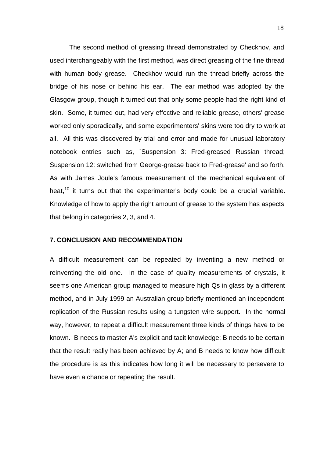The second method of greasing thread demonstrated by Checkhov, and used interchangeably with the first method, was direct greasing of the fine thread with human body grease. Checkhov would run the thread briefly across the bridge of his nose or behind his ear. The ear method was adopted by the Glasgow group, though it turned out that only some people had the right kind of skin. Some, it turned out, had very effective and reliable grease, others' grease worked only sporadically, and some experimenters' skins were too dry to work at all. All this was discovered by trial and error and made for unusual laboratory notebook entries such as, `Suspension 3: Fred-greased Russian thread; Suspension 12: switched from George-grease back to Fred-grease' and so forth. As with James Joule's famous measurement of the mechanical equivalent of heat, $10$  it turns out that the experimenter's body could be a crucial variable. Knowledge of how to apply the right amount of grease to the system has aspects that belong in categories 2, 3, and 4.

#### **7. CONCLUSION AND RECOMMENDATION**

A difficult measurement can be repeated by inventing a new method or reinventing the old one. In the case of quality measurements of crystals, it seems one American group managed to measure high Qs in glass by a different method, and in July 1999 an Australian group briefly mentioned an independent replication of the Russian results using a tungsten wire support. In the normal way, however, to repeat a difficult measurement three kinds of things have to be known. B needs to master A's explicit and tacit knowledge; B needs to be certain that the result really has been achieved by A; and B needs to know how difficult the procedure is as this indicates how long it will be necessary to persevere to have even a chance or repeating the result.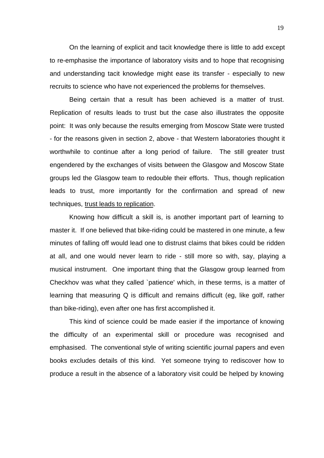On the learning of explicit and tacit knowledge there is little to add except to re-emphasise the importance of laboratory visits and to hope that recognising and understanding tacit knowledge might ease its transfer - especially to new recruits to science who have not experienced the problems for themselves.

Being certain that a result has been achieved is a matter of trust. Replication of results leads to trust but the case also illustrates the opposite point: It was only because the results emerging from Moscow State were trusted - for the reasons given in section 2, above - that Western laboratories thought it worthwhile to continue after a long period of failure. The still greater trust engendered by the exchanges of visits between the Glasgow and Moscow State groups led the Glasgow team to redouble their efforts. Thus, though replication leads to trust, more importantly for the confirmation and spread of new techniques, trust leads to replication.

Knowing how difficult a skill is, is another important part of learning to master it. If one believed that bike-riding could be mastered in one minute, a few minutes of falling off would lead one to distrust claims that bikes could be ridden at all, and one would never learn to ride - still more so with, say, playing a musical instrument. One important thing that the Glasgow group learned from Checkhov was what they called `patience' which, in these terms, is a matter of learning that measuring Q is difficult and remains difficult (eg, like golf, rather than bike-riding), even after one has first accomplished it.

This kind of science could be made easier if the importance of knowing the difficulty of an experimental skill or procedure was recognised and emphasised. The conventional style of writing scientific journal papers and even books excludes details of this kind. Yet someone trying to rediscover how to produce a result in the absence of a laboratory visit could be helped by knowing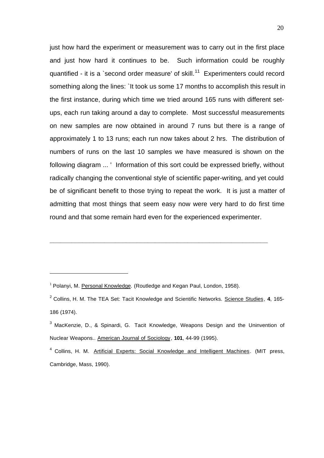just how hard the experiment or measurement was to carry out in the first place and just how hard it continues to be. Such information could be roughly quantified - it is a `second order measure' of skill.<sup>11</sup> Experimenters could record something along the lines: `It took us some 17 months to accomplish this result in the first instance, during which time we tried around 165 runs with different setups, each run taking around a day to complete. Most successful measurements on new samples are now obtained in around 7 runs but there is a range of approximately 1 to 13 runs; each run now takes about 2 hrs. The distribution of numbers of runs on the last 10 samples we have measured is shown on the following diagram ... ' Information of this sort could be expressed briefly, without radically changing the conventional style of scientific paper-writing, and yet could be of significant benefit to those trying to repeat the work. It is just a matter of admitting that most things that seem easy now were very hard to do first time round and that some remain hard even for the experienced experimenter.

j

**\_\_\_\_\_\_\_\_\_\_\_\_\_\_\_\_\_\_\_\_\_\_\_\_\_\_\_\_\_\_\_\_\_\_\_\_\_\_\_\_\_\_\_\_\_\_\_\_\_\_\_\_\_\_\_\_\_\_\_\_**

 $1$  Polanyi, M. Personal Knowledge. (Routledge and Kegan Paul, London, 1958).

<sup>2</sup> Collins, H. M. The TEA Set: Tacit Knowledge and Scientific Networks. Science Studies, **4**, 165- 186 (1974).

 $^3$  MacKenzie, D., & Spinardi, G. Tacit Knowledge, Weapons Design and the Uninvention of Nuclear Weapons.. American Journal of Sociology, **101**, 44-99 (1995).

<sup>&</sup>lt;sup>4</sup> Collins, H. M. Artificial Experts: Social Knowledge and Intelligent Machines. (MIT press, Cambridge, Mass, 1990).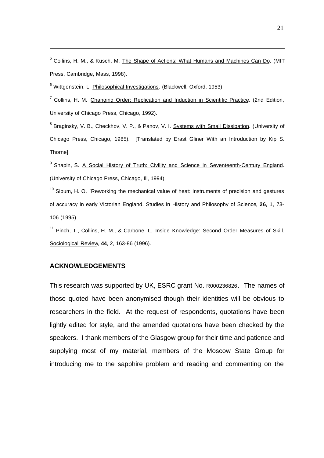<sup>5</sup> Collins, H. M., & Kusch, M. The Shape of Actions: What Humans and Machines Can Do. (MIT Press, Cambridge, Mass, 1998).

<sup>6</sup> Wittgenstein, L. *Philosophical Investigations. (Blackwell, Oxford, 1953).* 

<sup>7</sup> Collins, H. M. Changing Order: Replication and Induction in Scientific Practice. (2nd Edition, University of Chicago Press, Chicago, 1992).

<sup>8</sup> Braginsky, V. B., Checkhov, V. P., & Panov, V. I. Systems with Small Dissipation. (University of Chicago Press, Chicago, 1985). [Translated by Erast Gliner With an Introduction by Kip S. Thorne].

<sup>9</sup> Shapin, S. A Social History of Truth: Civility and Science in Seventeenth-Century England. (University of Chicago Press, Chicago, Ill, 1994).

 $10$  Sibum, H. O. `Reworking the mechanical value of heat: instruments of precision and gestures of accuracy in early Victorian England. Studies in History and Philosophy of Science, **26**, 1, 73- 106 (1995)

<sup>11</sup> Pinch, T., Collins, H. M., & Carbone, L. Inside Knowledge: Second Order Measures of Skill. Sociological Review, **44**, 2, 163-86 (1996).

#### **ACKNOWLEDGEMENTS**

j

This research was supported by UK, ESRC grant No. R000236826. The names of those quoted have been anonymised though their identities will be obvious to researchers in the field. At the request of respondents, quotations have been lightly edited for style, and the amended quotations have been checked by the speakers. I thank members of the Glasgow group for their time and patience and supplying most of my material, members of the Moscow State Group for introducing me to the sapphire problem and reading and commenting on the